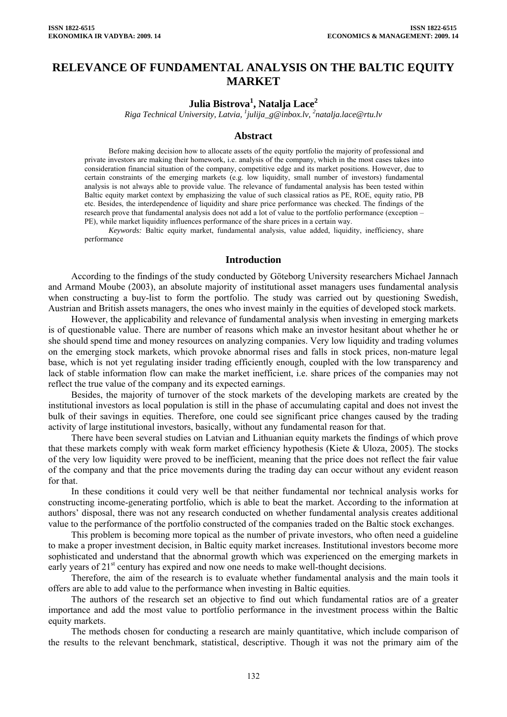# **RELEVANCE OF FUNDAMENTAL ANALYSIS ON THE BALTIC EQUITY MARKET**

## **Julia Bistrova1 , Natalja Lace<sup>2</sup>**

*Riga Technical University, Latvia, [1](mailto:1julija_g@inbox.lv) [julija\\_g@inbox.lv,](mailto:1julija_g@inbox.lv) 2 natalja.lace@rtu.lv* 

#### **Abstract**

Before making decision how to allocate assets of the equity portfolio the majority of professional and private investors are making their homework, i.e. analysis of the company, which in the most cases takes into consideration financial situation of the company, competitive edge and its market positions. However, due to certain constraints of the emerging markets (e.g. low liquidity, small number of investors) fundamental analysis is not always able to provide value. The relevance of fundamental analysis has been tested within Baltic equity market context by emphasizing the value of such classical ratios as PE, ROE, equity ratio, PB etc. Besides, the interdependence of liquidity and share price performance was checked. The findings of the research prove that fundamental analysis does not add a lot of value to the portfolio performance (exception – PE), while market liquidity influences performance of the share prices in a certain way.

*Keywords:* Baltic equity market, fundamental analysis, value added, liquidity, inefficiency, share performance

#### **Introduction**

According to the findings of the study conducted by Göteborg University researchers Michael Jannach and Armand Moube (2003), an absolute majority of institutional asset managers uses fundamental analysis when constructing a buy-list to form the portfolio. The study was carried out by questioning Swedish, Austrian and British assets managers, the ones who invest mainly in the equities of developed stock markets.

However, the applicability and relevance of fundamental analysis when investing in emerging markets is of questionable value. There are number of reasons which make an investor hesitant about whether he or she should spend time and money resources on analyzing companies. Very low liquidity and trading volumes on the emerging stock markets, which provoke abnormal rises and falls in stock prices, non-mature legal base, which is not yet regulating insider trading efficiently enough, coupled with the low transparency and lack of stable information flow can make the market inefficient, i.e. share prices of the companies may not reflect the true value of the company and its expected earnings.

Besides, the majority of turnover of the stock markets of the developing markets are created by the institutional investors as local population is still in the phase of accumulating capital and does not invest the bulk of their savings in equities. Therefore, one could see significant price changes caused by the trading activity of large institutional investors, basically, without any fundamental reason for that.

There have been several studies on Latvian and Lithuanian equity markets the findings of which prove that these markets comply with weak form market efficiency hypothesis (Kiete & Uloza, 2005). The stocks of the very low liquidity were proved to be inefficient, meaning that the price does not reflect the fair value of the company and that the price movements during the trading day can occur without any evident reason for that.

In these conditions it could very well be that neither fundamental nor technical analysis works for constructing income-generating portfolio, which is able to beat the market. According to the information at authors' disposal, there was not any research conducted on whether fundamental analysis creates additional value to the performance of the portfolio constructed of the companies traded on the Baltic stock exchanges.

This problem is becoming more topical as the number of private investors, who often need a guideline to make a proper investment decision, in Baltic equity market increases. Institutional investors become more sophisticated and understand that the abnormal growth which was experienced on the emerging markets in early years of  $21<sup>st</sup>$  century has expired and now one needs to make well-thought decisions.

Therefore, the aim of the research is to evaluate whether fundamental analysis and the main tools it offers are able to add value to the performance when investing in Baltic equities.

The authors of the research set an objective to find out which fundamental ratios are of a greater importance and add the most value to portfolio performance in the investment process within the Baltic equity markets.

The methods chosen for conducting a research are mainly quantitative, which include comparison of the results to the relevant benchmark, statistical, descriptive. Though it was not the primary aim of the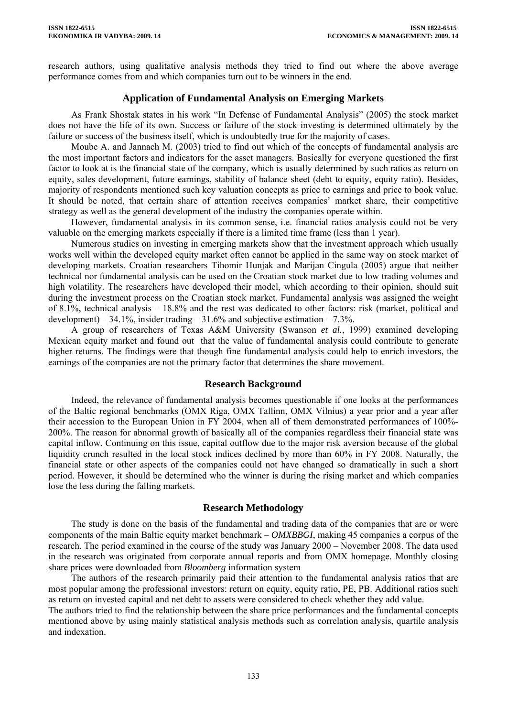research authors, using qualitative analysis methods they tried to find out where the above average performance comes from and which companies turn out to be winners in the end.

### **Application of Fundamental Analysis on Emerging Markets**

As Frank Shostak states in his work "In Defense of Fundamental Analysis" (2005) the stock market does not have the life of its own. Success or failure of the stock investing is determined ultimately by the failure or success of the business itself, which is undoubtedly true for the majority of cases.

Moube A. and Jannach M. (2003) tried to find out which of the concepts of fundamental analysis are the most important factors and indicators for the asset managers. Basically for everyone questioned the first factor to look at is the financial state of the company, which is usually determined by such ratios as return on equity, sales development, future earnings, stability of balance sheet (debt to equity, equity ratio). Besides, majority of respondents mentioned such key valuation concepts as price to earnings and price to book value. It should be noted, that certain share of attention receives companies' market share, their competitive strategy as well as the general development of the industry the companies operate within.

However, fundamental analysis in its common sense, i.e. financial ratios analysis could not be very valuable on the emerging markets especially if there is a limited time frame (less than 1 year).

Numerous studies on investing in emerging markets show that the investment approach which usually works well within the developed equity market often cannot be applied in the same way on stock market of developing markets. Croatian researchers Tihomir Hunjak and Marijan Cingula (2005) argue that neither technical nor fundamental analysis can be used on the Croatian stock market due to low trading volumes and high volatility. The researchers have developed their model, which according to their opinion, should suit during the investment process on the Croatian stock market. Fundamental analysis was assigned the weight of 8.1%, technical analysis – 18.8% and the rest was dedicated to other factors: risk (market, political and development) – 34.1%, insider trading – 31.6% and subjective estimation – 7.3%.

A group of researchers of Texas A&M University (Swanson *et al.*, 1999) examined developing Mexican equity market and found out that the value of fundamental analysis could contribute to generate higher returns. The findings were that though fine fundamental analysis could help to enrich investors, the earnings of the companies are not the primary factor that determines the share movement.

#### **Research Background**

Indeed, the relevance of fundamental analysis becomes questionable if one looks at the performances of the Baltic regional benchmarks (OMX Riga, OMX Tallinn, OMX Vilnius) a year prior and a year after their accession to the European Union in FY 2004, when all of them demonstrated performances of 100%- 200%. The reason for abnormal growth of basically all of the companies regardless their financial state was capital inflow. Continuing on this issue, capital outflow due to the major risk aversion because of the global liquidity crunch resulted in the local stock indices declined by more than 60% in FY 2008. Naturally, the financial state or other aspects of the companies could not have changed so dramatically in such a short period. However, it should be determined who the winner is during the rising market and which companies lose the less during the falling markets.

#### **Research Methodology**

The study is done on the basis of the fundamental and trading data of the companies that are or were components of the main Baltic equity market benchmark – *OMXBBGI*, making 45 companies a corpus of the research. The period examined in the course of the study was January 2000 – November 2008. The data used in the research was originated from corporate annual reports and from OMX homepage. Monthly closing share prices were downloaded from *Bloomberg* information system

The authors of the research primarily paid their attention to the fundamental analysis ratios that are most popular among the professional investors: return on equity, equity ratio, PE, PB. Additional ratios such as return on invested capital and net debt to assets were considered to check whether they add value.

The authors tried to find the relationship between the share price performances and the fundamental concepts mentioned above by using mainly statistical analysis methods such as correlation analysis, quartile analysis and indexation.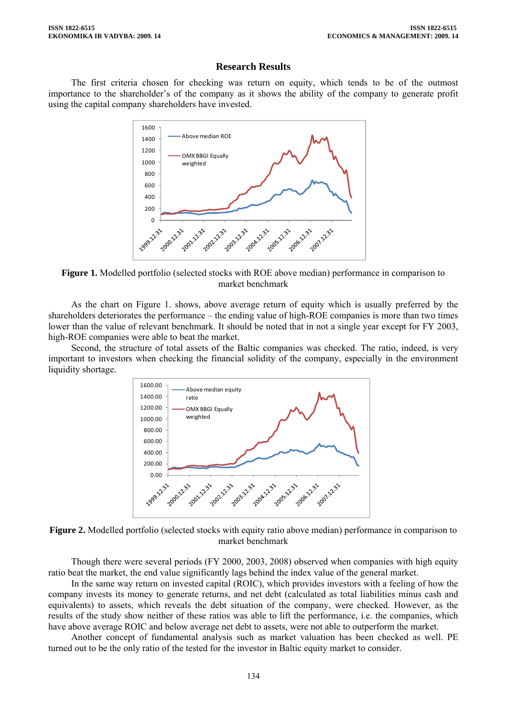#### **Research Results**

The first criteria chosen for checking was return on equity, which tends to be of the outmost importance to the shareholder's of the company as it shows the ability of the company to generate profit using the capital company shareholders have invested.



**Figure 1.** Modelled portfolio (selected stocks with ROE above median) performance in comparison to market benchmark

As the chart on Figure 1. shows, above average return of equity which is usually preferred by the shareholders deteriorates the performance – the ending value of high-ROE companies is more than two times lower than the value of relevant benchmark. It should be noted that in not a single year except for FY 2003, high-ROE companies were able to beat the market.

Second, the structure of total assets of the Baltic companies was checked. The ratio, indeed, is very important to investors when checking the financial solidity of the company, especially in the environment liquidity shortage.



**Figure 2.** Modelled portfolio (selected stocks with equity ratio above median) performance in comparison to market benchmark

Though there were several periods (FY 2000, 2003, 2008) observed when companies with high equity ratio beat the market, the end value significantly lags behind the index value of the general market.

In the same way return on invested capital (ROIC), which provides investors with a feeling of how the company invests its money to generate returns, and net debt (calculated as total liabilities minus cash and equivalents) to assets, which reveals the debt situation of the company, were checked. However, as the results of the study show neither of these ratios was able to lift the performance, i.e. the companies, which have above average ROIC and below average net debt to assets, were not able to outperform the market.

Another concept of fundamental analysis such as market valuation has been checked as well. PE turned out to be the only ratio of the tested for the investor in Baltic equity market to consider.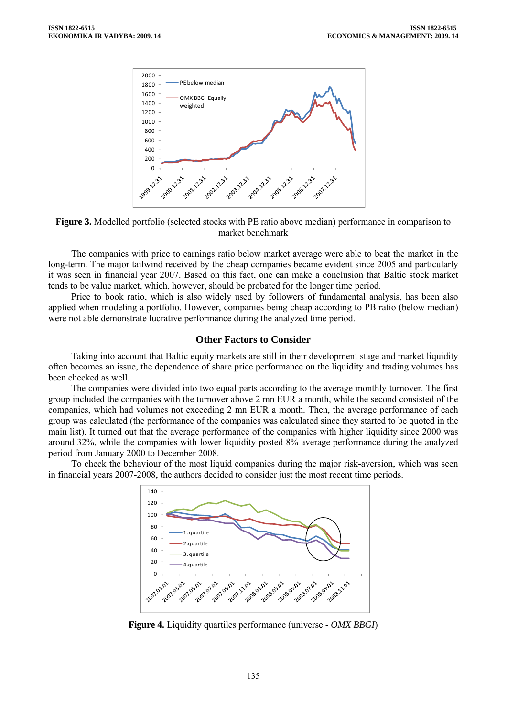



The companies with price to earnings ratio below market average were able to beat the market in the long-term. The major tailwind received by the cheap companies became evident since 2005 and particularly it was seen in financial year 2007. Based on this fact, one can make a conclusion that Baltic stock market tends to be value market, which, however, should be probated for the longer time period.

Price to book ratio, which is also widely used by followers of fundamental analysis, has been also applied when modeling a portfolio. However, companies being cheap according to PB ratio (below median) were not able demonstrate lucrative performance during the analyzed time period.

#### **Other Factors to Consider**

Taking into account that Baltic equity markets are still in their development stage and market liquidity often becomes an issue, the dependence of share price performance on the liquidity and trading volumes has been checked as well.

The companies were divided into two equal parts according to the average monthly turnover. The first group included the companies with the turnover above 2 mn EUR a month, while the second consisted of the companies, which had volumes not exceeding 2 mn EUR a month. Then, the average performance of each group was calculated (the performance of the companies was calculated since they started to be quoted in the main list). It turned out that the average performance of the companies with higher liquidity since 2000 was around 32%, while the companies with lower liquidity posted 8% average performance during the analyzed period from January 2000 to December 2008.

To check the behaviour of the most liquid companies during the major risk-aversion, which was seen in financial years 2007-2008, the authors decided to consider just the most recent time periods.



**Figure 4.** Liquidity quartiles performance (universe - *OMX BBGI*)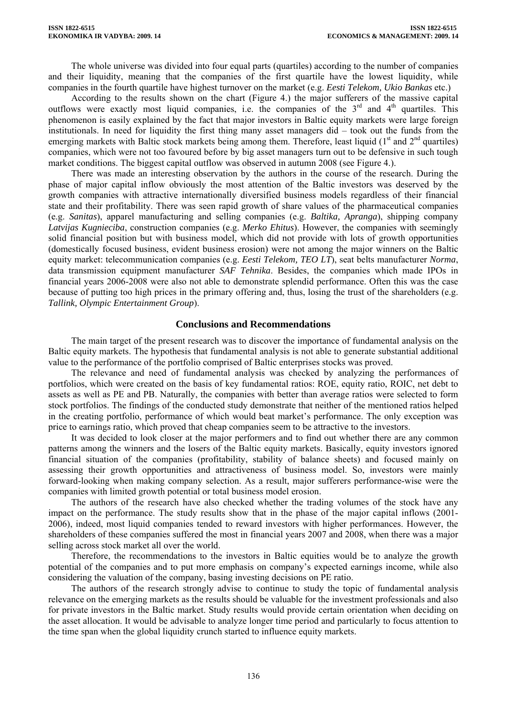The whole universe was divided into four equal parts (quartiles) according to the number of companies and their liquidity, meaning that the companies of the first quartile have the lowest liquidity, while companies in the fourth quartile have highest turnover on the market (e.g. *Eesti Telekom, Ukio Bankas* etc.)

According to the results shown on the chart (Figure 4.) the major sufferers of the massive capital outflows were exactly most liquid companies, i.e. the companies of the  $3<sup>rd</sup>$  and  $4<sup>th</sup>$  quartiles. This phenomenon is easily explained by the fact that major investors in Baltic equity markets were large foreign institutionals. In need for liquidity the first thing many asset managers did – took out the funds from the emerging markets with Baltic stock markets being among them. Therefore, least liquid (1<sup>st</sup> and 2<sup>nd</sup> quartiles) companies, which were not too favoured before by big asset managers turn out to be defensive in such tough market conditions. The biggest capital outflow was observed in autumn 2008 (see Figure 4.).

There was made an interesting observation by the authors in the course of the research. During the phase of major capital inflow obviously the most attention of the Baltic investors was deserved by the growth companies with attractive internationally diversified business models regardless of their financial state and their profitability. There was seen rapid growth of share values of the pharmaceutical companies (e.g. *Sanitas*), apparel manufacturing and selling companies (e.g. *Baltika, Apranga*), shipping company *Latvijas Kugnieciba*, construction companies (e.g. *Merko Ehitus*). However, the companies with seemingly solid financial position but with business model, which did not provide with lots of growth opportunities (domestically focused business, evident business erosion) were not among the major winners on the Baltic equity market: telecommunication companies (e.g. *Eesti Telekom, TEO LT*), seat belts manufacturer *Norma*, data transmission equipment manufacturer *SAF Tehnika*. Besides, the companies which made IPOs in financial years 2006-2008 were also not able to demonstrate splendid performance. Often this was the case because of putting too high prices in the primary offering and, thus, losing the trust of the shareholders (e.g. *Tallink, Olympic Entertainment Group*).

#### **Conclusions and Recommendations**

The main target of the present research was to discover the importance of fundamental analysis on the Baltic equity markets. The hypothesis that fundamental analysis is not able to generate substantial additional value to the performance of the portfolio comprised of Baltic enterprises stocks was proved.

The relevance and need of fundamental analysis was checked by analyzing the performances of portfolios, which were created on the basis of key fundamental ratios: ROE, equity ratio, ROIC, net debt to assets as well as PE and PB. Naturally, the companies with better than average ratios were selected to form stock portfolios. The findings of the conducted study demonstrate that neither of the mentioned ratios helped in the creating portfolio, performance of which would beat market's performance. The only exception was price to earnings ratio, which proved that cheap companies seem to be attractive to the investors.

It was decided to look closer at the major performers and to find out whether there are any common patterns among the winners and the losers of the Baltic equity markets. Basically, equity investors ignored financial situation of the companies (profitability, stability of balance sheets) and focused mainly on assessing their growth opportunities and attractiveness of business model. So, investors were mainly forward-looking when making company selection. As a result, major sufferers performance-wise were the companies with limited growth potential or total business model erosion.

The authors of the research have also checked whether the trading volumes of the stock have any impact on the performance. The study results show that in the phase of the major capital inflows (2001- 2006), indeed, most liquid companies tended to reward investors with higher performances. However, the shareholders of these companies suffered the most in financial years 2007 and 2008, when there was a major selling across stock market all over the world.

Therefore, the recommendations to the investors in Baltic equities would be to analyze the growth potential of the companies and to put more emphasis on company's expected earnings income, while also considering the valuation of the company, basing investing decisions on PE ratio.

The authors of the research strongly advise to continue to study the topic of fundamental analysis relevance on the emerging markets as the results should be valuable for the investment professionals and also for private investors in the Baltic market. Study results would provide certain orientation when deciding on the asset allocation. It would be advisable to analyze longer time period and particularly to focus attention to the time span when the global liquidity crunch started to influence equity markets.